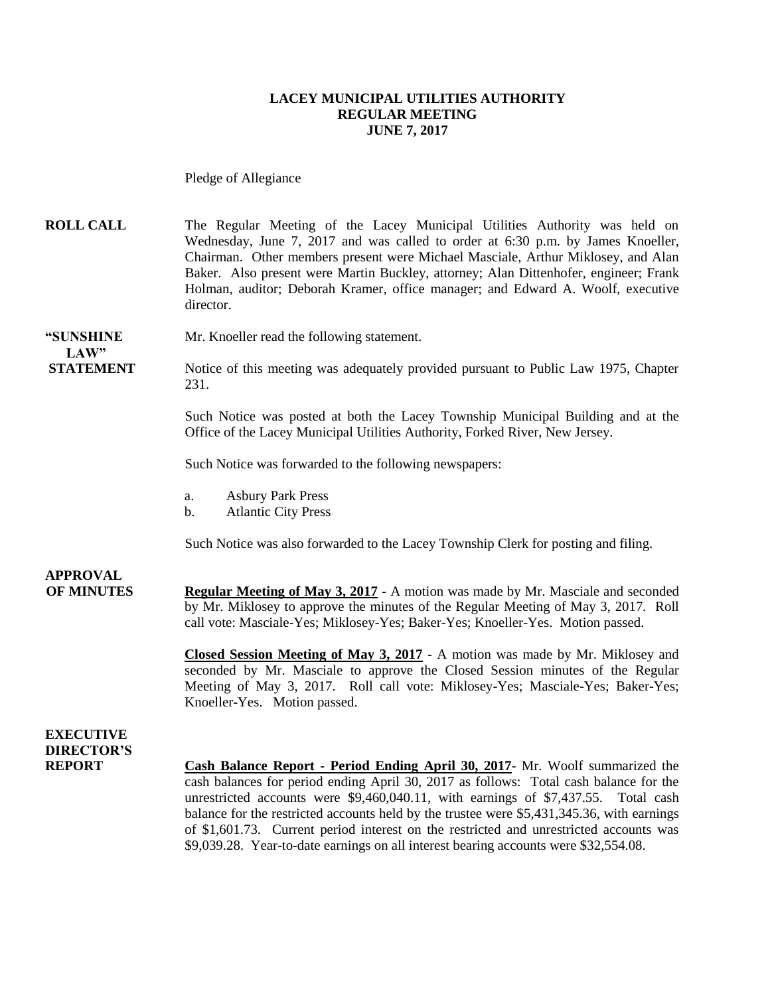### **LACEY MUNICIPAL UTILITIES AUTHORITY REGULAR MEETING JUNE 7, 2017**

Pledge of Allegiance

**ROLL CALL** The Regular Meeting of the Lacey Municipal Utilities Authority was held on Wednesday, June 7, 2017 and was called to order at 6:30 p.m. by James Knoeller, Chairman. Other members present were Michael Masciale, Arthur Miklosey, and Alan Baker. Also present were Martin Buckley, attorney; Alan Dittenhofer, engineer; Frank Holman, auditor; Deborah Kramer, office manager; and Edward A. Woolf, executive director.

#### **"SUNSHINE** Mr. Knoeller read the following statement. LAW"

**STATEMENT** Notice of this meeting was adequately provided pursuant to Public Law 1975, Chapter 231.

> Such Notice was posted at both the Lacey Township Municipal Building and at the Office of the Lacey Municipal Utilities Authority, Forked River, New Jersey.

Such Notice was forwarded to the following newspapers:

- a. Asbury Park Press
- b. Atlantic City Press

Such Notice was also forwarded to the Lacey Township Clerk for posting and filing.

## **APPROVAL**

**OF MINUTES Regular Meeting of May 3, 2017 -** A motion was made by Mr. Masciale and seconded by Mr. Miklosey to approve the minutes of the Regular Meeting of May 3, 2017. Roll call vote: Masciale-Yes; Miklosey-Yes; Baker-Yes; Knoeller-Yes. Motion passed.

> **Closed Session Meeting of May 3, 2017** - A motion was made by Mr. Miklosey and seconded by Mr. Masciale to approve the Closed Session minutes of the Regular Meeting of May 3, 2017. Roll call vote: Miklosey-Yes; Masciale-Yes; Baker-Yes; Knoeller-Yes. Motion passed.

### **EXECUTIVE DIRECTOR'S**

**REPORT Cash Balance Report - Period Ending April 30, 2017**- Mr. Woolf summarized the cash balances for period ending April 30, 2017 as follows: Total cash balance for the unrestricted accounts were \$9,460,040.11, with earnings of \$7,437.55. Total cash balance for the restricted accounts held by the trustee were \$5,431,345.36, with earnings of \$1,601.73. Current period interest on the restricted and unrestricted accounts was \$9,039.28. Year-to-date earnings on all interest bearing accounts were \$32,554.08.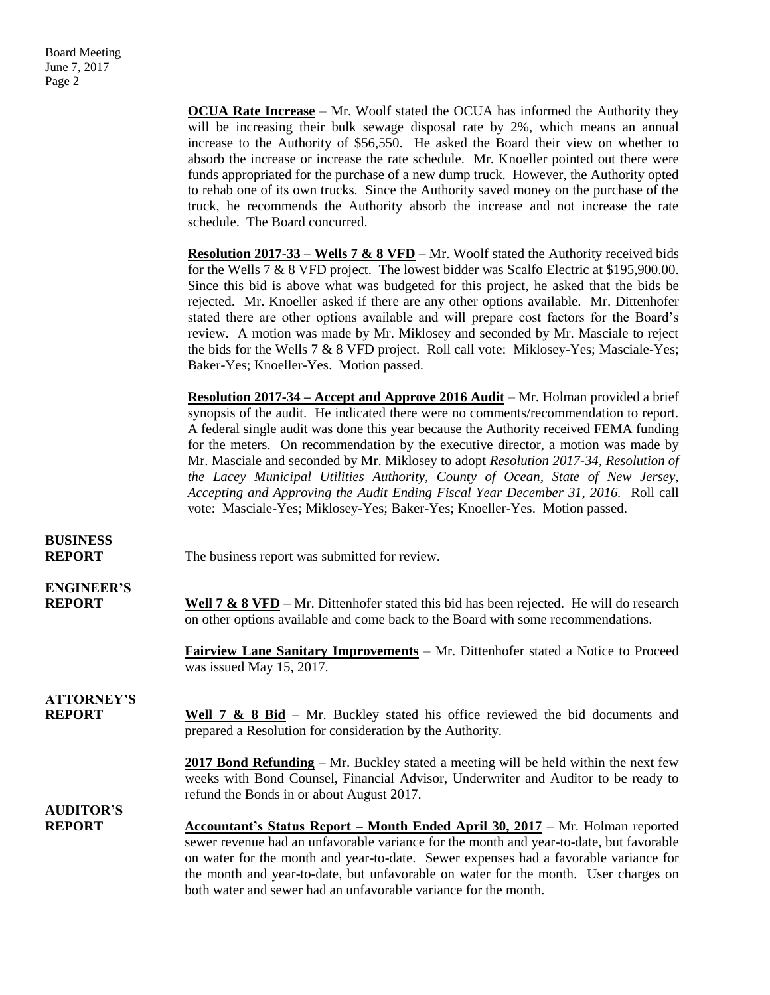|                                    | <b>OCUA Rate Increase</b> – Mr. Woolf stated the OCUA has informed the Authority they<br>will be increasing their bulk sewage disposal rate by 2%, which means an annual<br>increase to the Authority of \$56,550. He asked the Board their view on whether to<br>absorb the increase or increase the rate schedule. Mr. Knoeller pointed out there were<br>funds appropriated for the purchase of a new dump truck. However, the Authority opted<br>to rehab one of its own trucks. Since the Authority saved money on the purchase of the<br>truck, he recommends the Authority absorb the increase and not increase the rate<br>schedule. The Board concurred.                                          |
|------------------------------------|------------------------------------------------------------------------------------------------------------------------------------------------------------------------------------------------------------------------------------------------------------------------------------------------------------------------------------------------------------------------------------------------------------------------------------------------------------------------------------------------------------------------------------------------------------------------------------------------------------------------------------------------------------------------------------------------------------|
|                                    | <b>Resolution 2017-33 – Wells 7 &amp; 8 VFD</b> – Mr. Woolf stated the Authority received bids<br>for the Wells 7 & 8 VFD project. The lowest bidder was Scalfo Electric at \$195,900.00.<br>Since this bid is above what was budgeted for this project, he asked that the bids be<br>rejected. Mr. Knoeller asked if there are any other options available. Mr. Dittenhofer<br>stated there are other options available and will prepare cost factors for the Board's<br>review. A motion was made by Mr. Miklosey and seconded by Mr. Masciale to reject<br>the bids for the Wells 7 & 8 VFD project. Roll call vote: Miklosey-Yes; Masciale-Yes;<br>Baker-Yes; Knoeller-Yes. Motion passed.             |
|                                    | <u> Resolution 2017-34 – Accept and Approve 2016 Audit</u> – Mr. Holman provided a brief<br>synopsis of the audit. He indicated there were no comments/recommendation to report.<br>A federal single audit was done this year because the Authority received FEMA funding<br>for the meters. On recommendation by the executive director, a motion was made by<br>Mr. Masciale and seconded by Mr. Miklosey to adopt Resolution 2017-34, Resolution of<br>the Lacey Municipal Utilities Authority, County of Ocean, State of New Jersey,<br>Accepting and Approving the Audit Ending Fiscal Year December 31, 2016. Roll call<br>vote: Masciale-Yes; Miklosey-Yes; Baker-Yes; Knoeller-Yes. Motion passed. |
| <b>BUSINESS</b><br><b>REPORT</b>   | The business report was submitted for review.                                                                                                                                                                                                                                                                                                                                                                                                                                                                                                                                                                                                                                                              |
| <b>ENGINEER'S</b><br><b>REPORT</b> | <b>Well 7 &amp; 8 VFD</b> – Mr. Dittenhofer stated this bid has been rejected. He will do research<br>on other options available and come back to the Board with some recommendations.                                                                                                                                                                                                                                                                                                                                                                                                                                                                                                                     |
|                                    | <b>Fairview Lane Sanitary Improvements</b> – Mr. Dittenhofer stated a Notice to Proceed<br>was issued May 15, 2017.                                                                                                                                                                                                                                                                                                                                                                                                                                                                                                                                                                                        |
| <b>ATTORNEY'S</b><br><b>REPORT</b> | Well $7 \& 8 \text{ Bid}$ – Mr. Buckley stated his office reviewed the bid documents and<br>prepared a Resolution for consideration by the Authority.                                                                                                                                                                                                                                                                                                                                                                                                                                                                                                                                                      |
|                                    | $2017$ Bond Refunding – Mr. Buckley stated a meeting will be held within the next few<br>weeks with Bond Counsel, Financial Advisor, Underwriter and Auditor to be ready to<br>refund the Bonds in or about August 2017.                                                                                                                                                                                                                                                                                                                                                                                                                                                                                   |
| <b>AUDITOR'S</b><br><b>REPORT</b>  | <b>Accountant's Status Report – Month Ended April 30, 2017 – Mr. Holman reported</b><br>sewer revenue had an unfavorable variance for the month and year-to-date, but favorable<br>on water for the month and year-to-date. Sewer expenses had a favorable variance for<br>the month and year-to-date, but unfavorable on water for the month. User charges on<br>both water and sewer had an unfavorable variance for the month.                                                                                                                                                                                                                                                                          |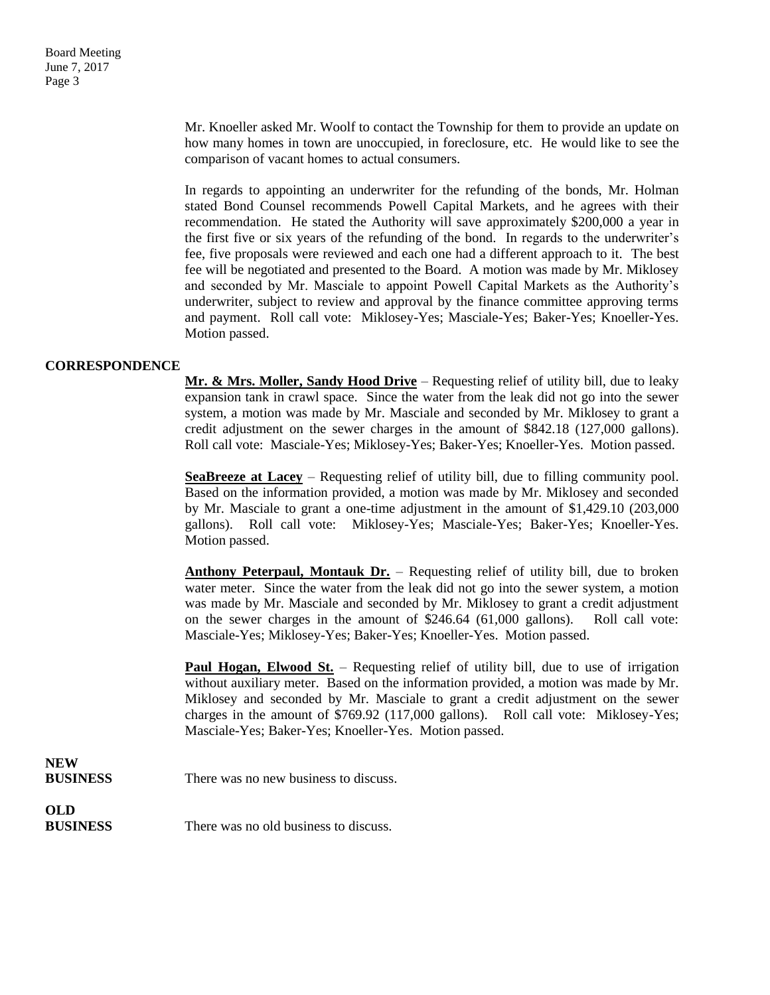Mr. Knoeller asked Mr. Woolf to contact the Township for them to provide an update on how many homes in town are unoccupied, in foreclosure, etc. He would like to see the comparison of vacant homes to actual consumers.

In regards to appointing an underwriter for the refunding of the bonds, Mr. Holman stated Bond Counsel recommends Powell Capital Markets, and he agrees with their recommendation. He stated the Authority will save approximately \$200,000 a year in the first five or six years of the refunding of the bond. In regards to the underwriter's fee, five proposals were reviewed and each one had a different approach to it. The best fee will be negotiated and presented to the Board. A motion was made by Mr. Miklosey and seconded by Mr. Masciale to appoint Powell Capital Markets as the Authority's underwriter, subject to review and approval by the finance committee approving terms and payment. Roll call vote: Miklosey-Yes; Masciale-Yes; Baker-Yes; Knoeller-Yes. Motion passed.

### **CORRESPONDENCE**

**Mr. & Mrs. Moller, Sandy Hood Drive** – Requesting relief of utility bill, due to leaky expansion tank in crawl space. Since the water from the leak did not go into the sewer system, a motion was made by Mr. Masciale and seconded by Mr. Miklosey to grant a credit adjustment on the sewer charges in the amount of \$842.18 (127,000 gallons). Roll call vote: Masciale-Yes; Miklosey-Yes; Baker-Yes; Knoeller-Yes. Motion passed.

**SeaBreeze at Lacey** – Requesting relief of utility bill, due to filling community pool. Based on the information provided, a motion was made by Mr. Miklosey and seconded by Mr. Masciale to grant a one-time adjustment in the amount of \$1,429.10 (203,000 gallons). Roll call vote: Miklosey-Yes; Masciale-Yes; Baker-Yes; Knoeller-Yes. Motion passed.

**Anthony Peterpaul, Montauk Dr.** – Requesting relief of utility bill, due to broken water meter. Since the water from the leak did not go into the sewer system, a motion was made by Mr. Masciale and seconded by Mr. Miklosey to grant a credit adjustment on the sewer charges in the amount of \$246.64 (61,000 gallons). Roll call vote: Masciale-Yes; Miklosey-Yes; Baker-Yes; Knoeller-Yes. Motion passed.

**Paul Hogan, Elwood St.** – Requesting relief of utility bill, due to use of irrigation without auxiliary meter. Based on the information provided, a motion was made by Mr. Miklosey and seconded by Mr. Masciale to grant a credit adjustment on the sewer charges in the amount of \$769.92 (117,000 gallons). Roll call vote: Miklosey-Yes; Masciale-Yes; Baker-Yes; Knoeller-Yes. Motion passed.

**NEW BUSINESS** There was no new business to discuss.

**OLD**

**BUSINESS** There was no old business to discuss.